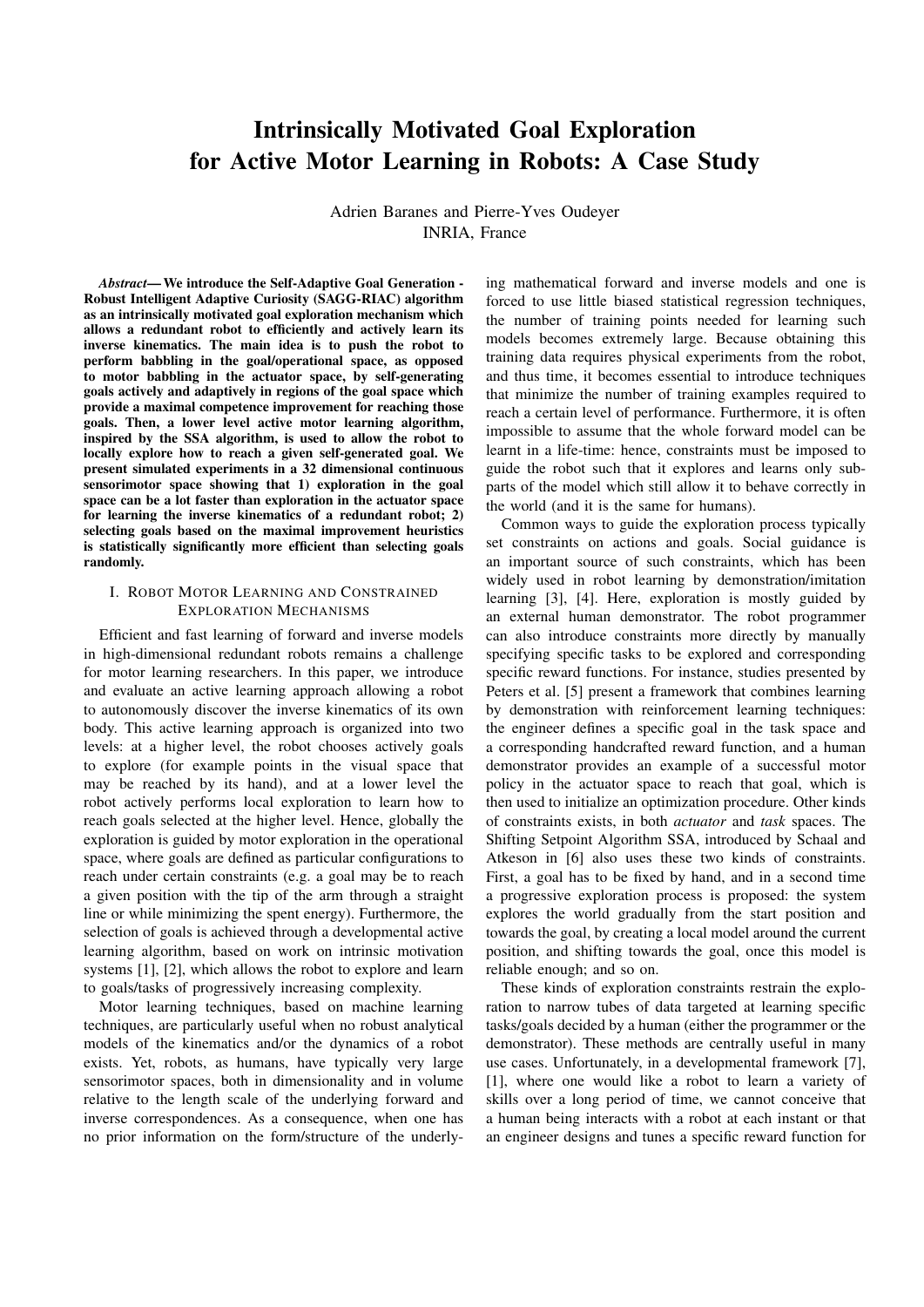# Intrinsically Motivated Goal Exploration for Active Motor Learning in Robots: A Case Study

Adrien Baranes and Pierre-Yves Oudeyer INRIA, France

*Abstract*— We introduce the Self-Adaptive Goal Generation - Robust Intelligent Adaptive Curiosity (SAGG-RIAC) algorithm as an intrinsically motivated goal exploration mechanism which allows a redundant robot to efficiently and actively learn its inverse kinematics. The main idea is to push the robot to perform babbling in the goal/operational space, as opposed to motor babbling in the actuator space, by self-generating goals actively and adaptively in regions of the goal space which provide a maximal competence improvement for reaching those goals. Then, a lower level active motor learning algorithm, inspired by the SSA algorithm, is used to allow the robot to locally explore how to reach a given self-generated goal. We present simulated experiments in a 32 dimensional continuous sensorimotor space showing that 1) exploration in the goal space can be a lot faster than exploration in the actuator space for learning the inverse kinematics of a redundant robot; 2) selecting goals based on the maximal improvement heuristics is statistically significantly more efficient than selecting goals randomly.

### I. ROBOT MOTOR LEARNING AND CONSTRAINED EXPLORATION MECHANISMS

Efficient and fast learning of forward and inverse models in high-dimensional redundant robots remains a challenge for motor learning researchers. In this paper, we introduce and evaluate an active learning approach allowing a robot to autonomously discover the inverse kinematics of its own body. This active learning approach is organized into two levels: at a higher level, the robot chooses actively goals to explore (for example points in the visual space that may be reached by its hand), and at a lower level the robot actively performs local exploration to learn how to reach goals selected at the higher level. Hence, globally the exploration is guided by motor exploration in the operational space, where goals are defined as particular configurations to reach under certain constraints (e.g. a goal may be to reach a given position with the tip of the arm through a straight line or while minimizing the spent energy). Furthermore, the selection of goals is achieved through a developmental active learning algorithm, based on work on intrinsic motivation systems [1], [2], which allows the robot to explore and learn to goals/tasks of progressively increasing complexity.

Motor learning techniques, based on machine learning techniques, are particularly useful when no robust analytical models of the kinematics and/or the dynamics of a robot exists. Yet, robots, as humans, have typically very large sensorimotor spaces, both in dimensionality and in volume relative to the length scale of the underlying forward and inverse correspondences. As a consequence, when one has no prior information on the form/structure of the underlying mathematical forward and inverse models and one is forced to use little biased statistical regression techniques, the number of training points needed for learning such models becomes extremely large. Because obtaining this training data requires physical experiments from the robot, and thus time, it becomes essential to introduce techniques that minimize the number of training examples required to reach a certain level of performance. Furthermore, it is often impossible to assume that the whole forward model can be learnt in a life-time: hence, constraints must be imposed to guide the robot such that it explores and learns only subparts of the model which still allow it to behave correctly in the world (and it is the same for humans).

Common ways to guide the exploration process typically set constraints on actions and goals. Social guidance is an important source of such constraints, which has been widely used in robot learning by demonstration/imitation learning [3], [4]. Here, exploration is mostly guided by an external human demonstrator. The robot programmer can also introduce constraints more directly by manually specifying specific tasks to be explored and corresponding specific reward functions. For instance, studies presented by Peters et al. [5] present a framework that combines learning by demonstration with reinforcement learning techniques: the engineer defines a specific goal in the task space and a corresponding handcrafted reward function, and a human demonstrator provides an example of a successful motor policy in the actuator space to reach that goal, which is then used to initialize an optimization procedure. Other kinds of constraints exists, in both *actuator* and *task* spaces. The Shifting Setpoint Algorithm SSA, introduced by Schaal and Atkeson in [6] also uses these two kinds of constraints. First, a goal has to be fixed by hand, and in a second time a progressive exploration process is proposed: the system explores the world gradually from the start position and towards the goal, by creating a local model around the current position, and shifting towards the goal, once this model is reliable enough; and so on.

These kinds of exploration constraints restrain the exploration to narrow tubes of data targeted at learning specific tasks/goals decided by a human (either the programmer or the demonstrator). These methods are centrally useful in many use cases. Unfortunately, in a developmental framework [7], [1], where one would like a robot to learn a variety of skills over a long period of time, we cannot conceive that a human being interacts with a robot at each instant or that an engineer designs and tunes a specific reward function for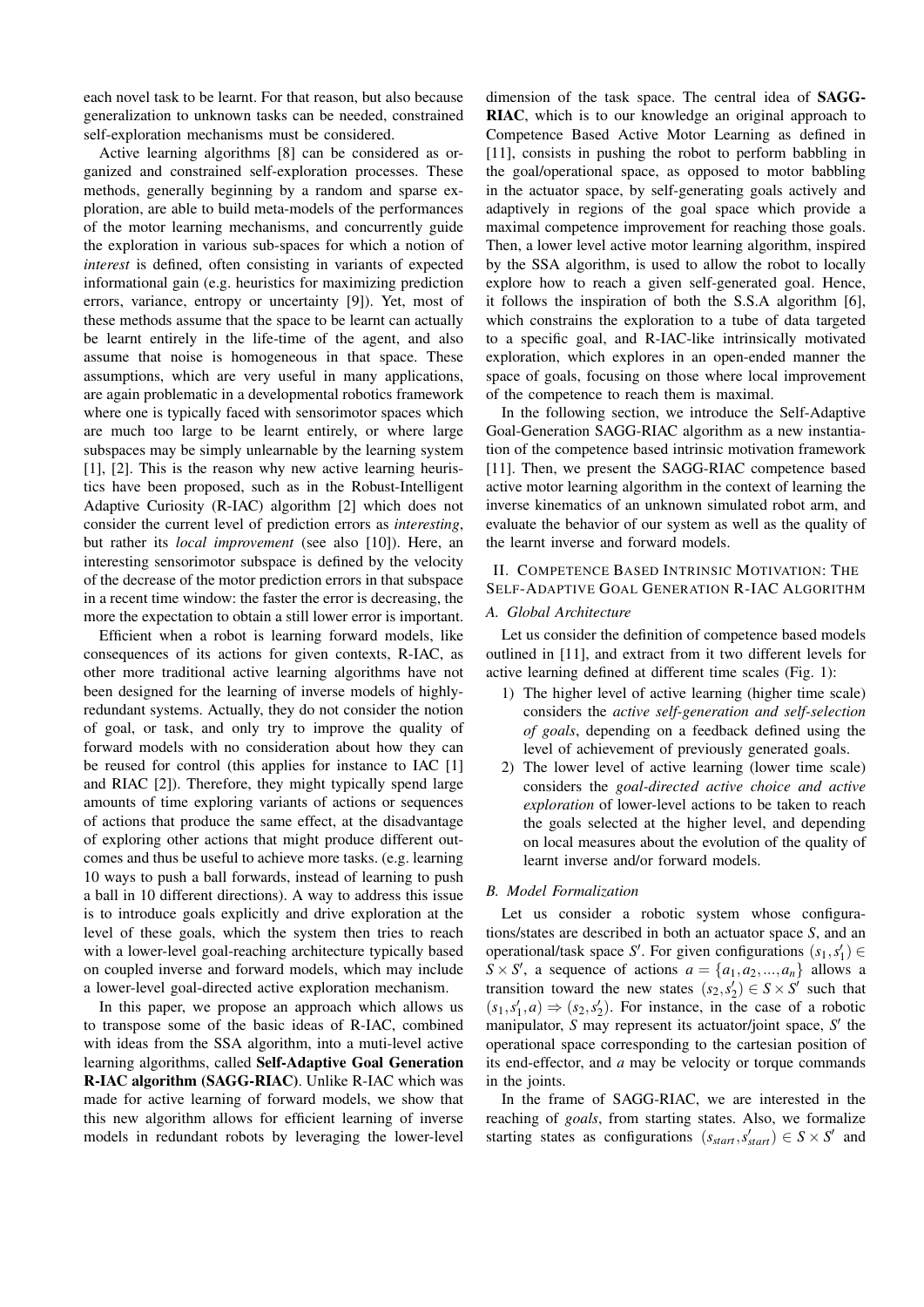each novel task to be learnt. For that reason, but also because generalization to unknown tasks can be needed, constrained self-exploration mechanisms must be considered.

Active learning algorithms [8] can be considered as organized and constrained self-exploration processes. These methods, generally beginning by a random and sparse exploration, are able to build meta-models of the performances of the motor learning mechanisms, and concurrently guide the exploration in various sub-spaces for which a notion of *interest* is defined, often consisting in variants of expected informational gain (e.g. heuristics for maximizing prediction errors, variance, entropy or uncertainty [9]). Yet, most of these methods assume that the space to be learnt can actually be learnt entirely in the life-time of the agent, and also assume that noise is homogeneous in that space. These assumptions, which are very useful in many applications, are again problematic in a developmental robotics framework where one is typically faced with sensorimotor spaces which are much too large to be learnt entirely, or where large subspaces may be simply unlearnable by the learning system [1], [2]. This is the reason why new active learning heuristics have been proposed, such as in the Robust-Intelligent Adaptive Curiosity (R-IAC) algorithm [2] which does not consider the current level of prediction errors as *interesting*, but rather its *local improvement* (see also [10]). Here, an interesting sensorimotor subspace is defined by the velocity of the decrease of the motor prediction errors in that subspace in a recent time window: the faster the error is decreasing, the more the expectation to obtain a still lower error is important.

Efficient when a robot is learning forward models, like consequences of its actions for given contexts, R-IAC, as other more traditional active learning algorithms have not been designed for the learning of inverse models of highlyredundant systems. Actually, they do not consider the notion of goal, or task, and only try to improve the quality of forward models with no consideration about how they can be reused for control (this applies for instance to IAC [1] and RIAC [2]). Therefore, they might typically spend large amounts of time exploring variants of actions or sequences of actions that produce the same effect, at the disadvantage of exploring other actions that might produce different outcomes and thus be useful to achieve more tasks. (e.g. learning 10 ways to push a ball forwards, instead of learning to push a ball in 10 different directions). A way to address this issue is to introduce goals explicitly and drive exploration at the level of these goals, which the system then tries to reach with a lower-level goal-reaching architecture typically based on coupled inverse and forward models, which may include a lower-level goal-directed active exploration mechanism.

In this paper, we propose an approach which allows us to transpose some of the basic ideas of R-IAC, combined with ideas from the SSA algorithm, into a muti-level active learning algorithms, called Self-Adaptive Goal Generation R-IAC algorithm (SAGG-RIAC). Unlike R-IAC which was made for active learning of forward models, we show that this new algorithm allows for efficient learning of inverse models in redundant robots by leveraging the lower-level

dimension of the task space. The central idea of SAGG-RIAC, which is to our knowledge an original approach to Competence Based Active Motor Learning as defined in [11], consists in pushing the robot to perform babbling in the goal/operational space, as opposed to motor babbling in the actuator space, by self-generating goals actively and adaptively in regions of the goal space which provide a maximal competence improvement for reaching those goals. Then, a lower level active motor learning algorithm, inspired by the SSA algorithm, is used to allow the robot to locally explore how to reach a given self-generated goal. Hence, it follows the inspiration of both the S.S.A algorithm [6], which constrains the exploration to a tube of data targeted to a specific goal, and R-IAC-like intrinsically motivated exploration, which explores in an open-ended manner the space of goals, focusing on those where local improvement of the competence to reach them is maximal.

In the following section, we introduce the Self-Adaptive Goal-Generation SAGG-RIAC algorithm as a new instantiation of the competence based intrinsic motivation framework [11]. Then, we present the SAGG-RIAC competence based active motor learning algorithm in the context of learning the inverse kinematics of an unknown simulated robot arm, and evaluate the behavior of our system as well as the quality of the learnt inverse and forward models.

# II. COMPETENCE BASED INTRINSIC MOTIVATION: THE SELF-ADAPTIVE GOAL GENERATION R-IAC ALGORITHM

### *A. Global Architecture*

Let us consider the definition of competence based models outlined in [11], and extract from it two different levels for active learning defined at different time scales (Fig. 1):

- 1) The higher level of active learning (higher time scale) considers the *active self-generation and self-selection of goals*, depending on a feedback defined using the level of achievement of previously generated goals.
- 2) The lower level of active learning (lower time scale) considers the *goal-directed active choice and active exploration* of lower-level actions to be taken to reach the goals selected at the higher level, and depending on local measures about the evolution of the quality of learnt inverse and/or forward models.

#### *B. Model Formalization*

Let us consider a robotic system whose configurations/states are described in both an actuator space *S*, and an operational/task space *S'*. For given configurations  $(s_1, s'_1) \in$  $S \times S'$ , a sequence of actions  $a = \{a_1, a_2, ..., a_n\}$  allows a transition toward the new states  $(s_2, s'_2) \in S \times S'$  such that  $(s_1, s'_1, a) \Rightarrow (s_2, s'_2)$ . For instance, in the case of a robotic manipulator, *S* may represent its actuator/joint space, *S'* the operational space corresponding to the cartesian position of its end-effector, and *a* may be velocity or torque commands in the joints.

In the frame of SAGG-RIAC, we are interested in the reaching of *goals*, from starting states. Also, we formalize starting states as configurations  $(s_{start}, s'_{start}) \in S \times S'$  and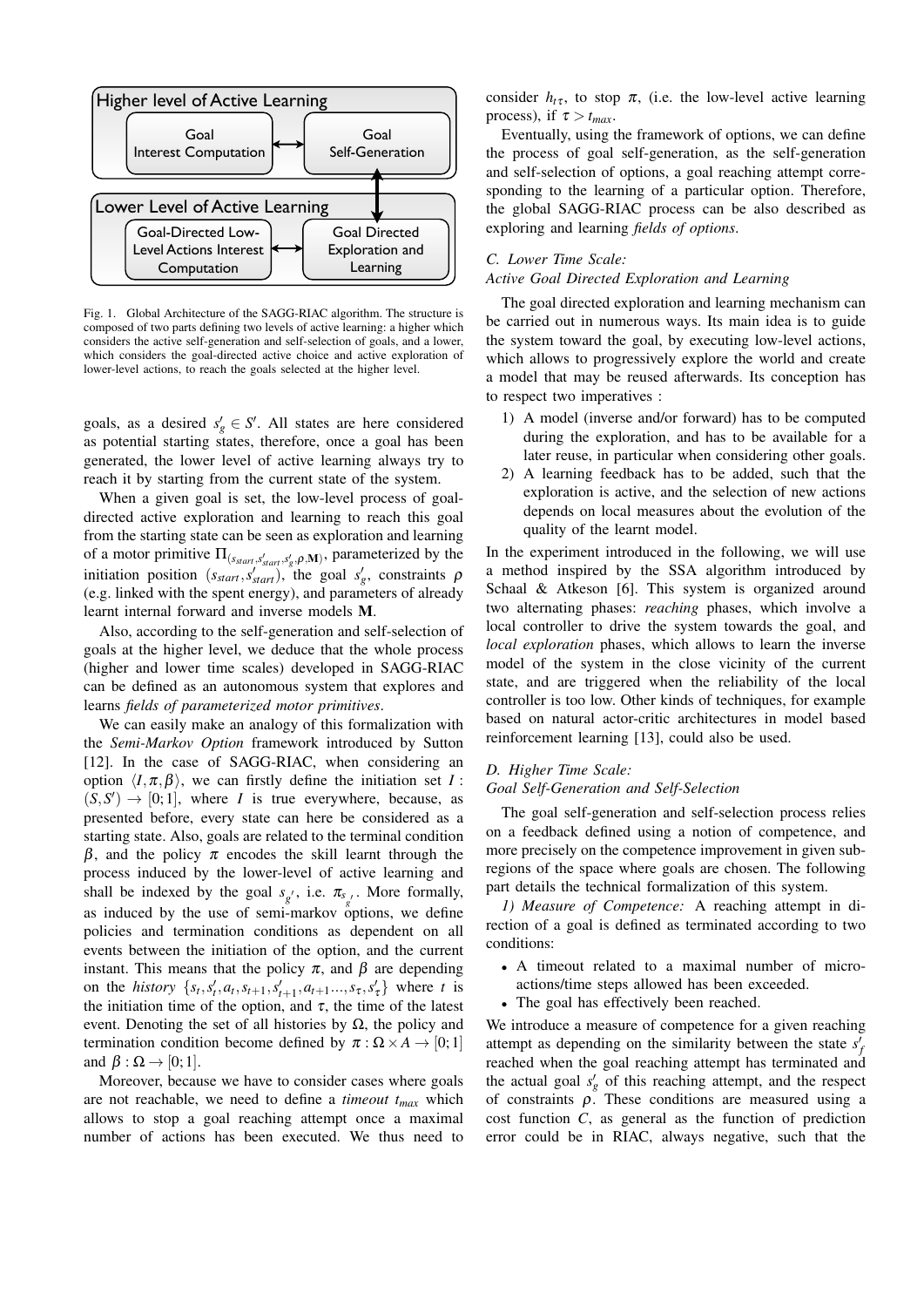

Fig. 1. Global Architecture of the SAGG-RIAC algorithm. The structure is composed of two parts defining two levels of active learning: a higher which considers the active self-generation and self-selection of goals, and a lower, which considers the goal-directed active choice and active exploration of lower-level actions, to reach the goals selected at the higher level.

goals, as a desired  $s'_g \in S'$ . All states are here considered as potential starting states, therefore, once a goal has been generated, the lower level of active learning always try to reach it by starting from the current state of the system.

When a given goal is set, the low-level process of goaldirected active exploration and learning to reach this goal from the starting state can be seen as exploration and learning of a motor primitive  $\Pi_{(s_{start}, s'_{start}, s'_g, \rho, M)}$ , parameterized by the initiation position  $(s_{start}, s'_{start})$ , the goal  $s'_g$ , constraints  $\rho$ (e.g. linked with the spent energy), and parameters of already learnt internal forward and inverse models M.

Also, according to the self-generation and self-selection of goals at the higher level, we deduce that the whole process (higher and lower time scales) developed in SAGG-RIAC can be defined as an autonomous system that explores and learns *fields of parameterized motor primitives*.

We can easily make an analogy of this formalization with the *Semi-Markov Option* framework introduced by Sutton [12]. In the case of SAGG-RIAC, when considering an option  $\langle I, \pi, \beta \rangle$ , we can firstly define the initiation set *I* :  $(S, S') \rightarrow [0, 1]$ , where *I* is true everywhere, because, as presented before, every state can here be considered as a starting state. Also, goals are related to the terminal condition β, and the policy π encodes the skill learnt through the process induced by the lower-level of active learning and shall be indexed by the goal  $s_{g'}$ , i.e.  $\pi_{s_{g'}}$ . More formally, as induced by the use of semi-markov options, we define policies and termination conditions as dependent on all events between the initiation of the option, and the current instant. This means that the policy π, and  $β$  are depending on the *history*  $\{s_t, s'_t, a_t, s_{t+1}, s'_{t+1}, a_{t+1}, \ldots, s_{\tau}, s'_{\tau}\}\$  where *t* is the initiation time of the option, and  $\tau$ , the time of the latest event. Denoting the set of all histories by  $\Omega$ , the policy and termination condition become defined by  $\pi : \Omega \times A \rightarrow [0,1]$ and  $\beta : \Omega \to [0; 1]$ .

Moreover, because we have to consider cases where goals are not reachable, we need to define a *timeout tmax* which allows to stop a goal reaching attempt once a maximal number of actions has been executed. We thus need to

consider  $h_{t\tau}$ , to stop  $\pi$ , (i.e. the low-level active learning process), if  $\tau > t_{max}$ .

Eventually, using the framework of options, we can define the process of goal self-generation, as the self-generation and self-selection of options, a goal reaching attempt corresponding to the learning of a particular option. Therefore, the global SAGG-RIAC process can be also described as exploring and learning *fields of options*.

#### *C. Lower Time Scale:*

#### *Active Goal Directed Exploration and Learning*

The goal directed exploration and learning mechanism can be carried out in numerous ways. Its main idea is to guide the system toward the goal, by executing low-level actions, which allows to progressively explore the world and create a model that may be reused afterwards. Its conception has to respect two imperatives :

- 1) A model (inverse and/or forward) has to be computed during the exploration, and has to be available for a later reuse, in particular when considering other goals.
- 2) A learning feedback has to be added, such that the exploration is active, and the selection of new actions depends on local measures about the evolution of the quality of the learnt model.

In the experiment introduced in the following, we will use a method inspired by the SSA algorithm introduced by Schaal & Atkeson [6]. This system is organized around two alternating phases: *reaching* phases, which involve a local controller to drive the system towards the goal, and *local exploration* phases, which allows to learn the inverse model of the system in the close vicinity of the current state, and are triggered when the reliability of the local controller is too low. Other kinds of techniques, for example based on natural actor-critic architectures in model based reinforcement learning [13], could also be used.

#### *D. Higher Time Scale:*

## *Goal Self-Generation and Self-Selection*

The goal self-generation and self-selection process relies on a feedback defined using a notion of competence, and more precisely on the competence improvement in given subregions of the space where goals are chosen. The following part details the technical formalization of this system.

*1) Measure of Competence:* A reaching attempt in direction of a goal is defined as terminated according to two conditions:

- A timeout related to a maximal number of microactions/time steps allowed has been exceeded.
- The goal has effectively been reached.

We introduce a measure of competence for a given reaching attempt as depending on the similarity between the state  $s'_{j}$ reached when the goal reaching attempt has terminated and the actual goal  $s'_g$  of this reaching attempt, and the respect of constraints  $\rho$ . These conditions are measured using a cost function *C*, as general as the function of prediction error could be in RIAC, always negative, such that the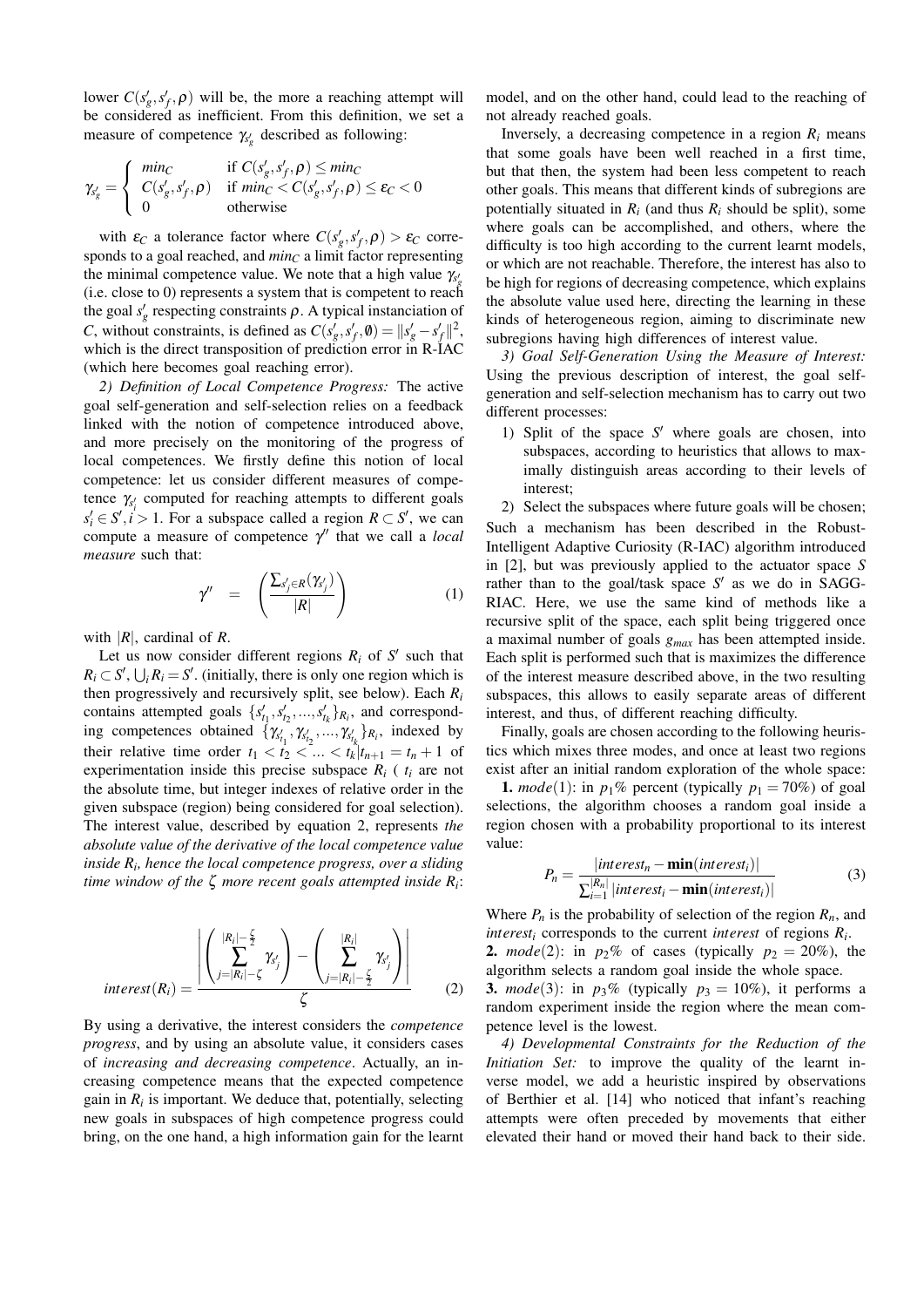lower  $C(s'_g, s'_f, \rho)$  will be, the more a reaching attempt will be considered as inefficient. From this definition, we set a measure of competence  $\gamma_{s'_g}$  described as following:

$$
\gamma_{s'_g} = \begin{cases} \min_C & \text{if } C(s'_g, s'_f, \rho) \leq \min_C \\ C(s'_g, s'_f, \rho) & \text{if } \min_C < C(s'_g, s'_f, \rho) \leq \varepsilon_C < 0 \\ 0 & \text{otherwise} \end{cases}
$$

with  $\varepsilon_C$  a tolerance factor where  $C(s'_g, s'_f, \rho) > \varepsilon_C$  corresponds to a goal reached, and *min<sup>C</sup>* a limit factor representing the minimal competence value. We note that a high value  $\gamma_{s'_g}$ (i.e. close to 0) represents a system that is competent to reach the goal  $s'_g$  respecting constraints  $\rho$ . A typical instanciation of *C*, without constraints, is defined as  $C(s'_g, s'_f, \emptyset) = ||s'_g - s'_f||^2$ , which is the direct transposition of prediction error in R-IAC (which here becomes goal reaching error).

*2) Definition of Local Competence Progress:* The active goal self-generation and self-selection relies on a feedback linked with the notion of competence introduced above, and more precisely on the monitoring of the progress of local competences. We firstly define this notion of local competence: let us consider different measures of competence  $\gamma_{s_i}$  computed for reaching attempts to different goals  $s_i' \in S', i > 1$ . For a subspace called a region *R* ⊂ *S*<sup>'</sup>, we can compute a measure of competence γ ′′ that we call a *local measure* such that:

$$
\gamma'' = \left( \frac{\sum_{s'_j \in R} (\gamma_{s'_j})}{|R|} \right) \tag{1}
$$

with |*R*|, cardinal of *R*.

Let us now consider different regions  $R_i$  of  $S'$  such that  $R_i \subset S'$ ,  $\bigcup_i R_i = S'$ . (initially, there is only one region which is then progressively and recursively split, see below). Each  $R_i$ contains attempted goals  $\{s'_{t_1}, s'_{t_2}, ..., s'_{t_k}\}_{R_i}$ , and corresponding competences obtained  $\{\gamma_{s'_{t_1}}, \gamma_{s'_{t_2}}, ..., \gamma_{s'_{t_k}}\}_{R_i}$ , indexed by their relative time order  $t_1 < t_2 < ... < t_k | t_{n+1} = t_n + 1$  of experimentation inside this precise subspace  $R_i$  ( $t_i$  are not the absolute time, but integer indexes of relative order in the given subspace (region) being considered for goal selection). The interest value, described by equation 2, represents *the absolute value of the derivative of the local competence value inside R<sup>i</sup> , hence the local competence progress, over a sliding time window of the* ζ *more recent goals attempted inside R<sup>i</sup>* :

$$
interest(R_i) = \frac{\left| \left( \sum_{j=|R_i|-\zeta}^{|R_i|-\zeta} \gamma_{s'_j} \right) - \left( \sum_{j=|R_i|-\zeta}^{|R_i|} \gamma_{s'_j} \right) \right|}{\zeta} \tag{2}
$$

By using a derivative, the interest considers the *competence progress*, and by using an absolute value, it considers cases of *increasing and decreasing competence*. Actually, an increasing competence means that the expected competence gain in  $R_i$  is important. We deduce that, potentially, selecting new goals in subspaces of high competence progress could bring, on the one hand, a high information gain for the learnt

model, and on the other hand, could lead to the reaching of not already reached goals.

Inversely, a decreasing competence in a region  $R_i$  means that some goals have been well reached in a first time, but that then, the system had been less competent to reach other goals. This means that different kinds of subregions are potentially situated in  $R_i$  (and thus  $R_i$  should be split), some where goals can be accomplished, and others, where the difficulty is too high according to the current learnt models, or which are not reachable. Therefore, the interest has also to be high for regions of decreasing competence, which explains the absolute value used here, directing the learning in these kinds of heterogeneous region, aiming to discriminate new subregions having high differences of interest value.

*3) Goal Self-Generation Using the Measure of Interest:* Using the previous description of interest, the goal selfgeneration and self-selection mechanism has to carry out two different processes:

1) Split of the space *S* ′ where goals are chosen, into subspaces, according to heuristics that allows to maximally distinguish areas according to their levels of interest;

2) Select the subspaces where future goals will be chosen; Such a mechanism has been described in the Robust-Intelligent Adaptive Curiosity (R-IAC) algorithm introduced in [2], but was previously applied to the actuator space *S* rather than to the goal/task space S' as we do in SAGG-RIAC. Here, we use the same kind of methods like a recursive split of the space, each split being triggered once a maximal number of goals *gmax* has been attempted inside. Each split is performed such that is maximizes the difference of the interest measure described above, in the two resulting subspaces, this allows to easily separate areas of different interest, and thus, of different reaching difficulty.

Finally, goals are chosen according to the following heuristics which mixes three modes, and once at least two regions exist after an initial random exploration of the whole space:

**1.** *mode*(1): in  $p_1$ % percent (typically  $p_1 = 70\%$ ) of goal selections, the algorithm chooses a random goal inside a region chosen with a probability proportional to its interest value:

$$
P_n = \frac{|interest_n - \min(interest_i)|}{\sum_{i=1}^{|R_n|} |interest_i - \min(interest_i)|}
$$
(3)

Where  $P_n$  is the probability of selection of the region  $R_n$ , and *interest<sub>i</sub>* corresponds to the current *interest* of regions  $R_i$ . 2. *mode*(2): in  $p_2$ % of cases (typically  $p_2 = 20$ %), the

algorithm selects a random goal inside the whole space. 3. *mode*(3): in  $p_3\%$  (typically  $p_3 = 10\%$ ), it performs a random experiment inside the region where the mean competence level is the lowest.

*4) Developmental Constraints for the Reduction of the Initiation Set:* to improve the quality of the learnt inverse model, we add a heuristic inspired by observations of Berthier et al. [14] who noticed that infant's reaching attempts were often preceded by movements that either elevated their hand or moved their hand back to their side.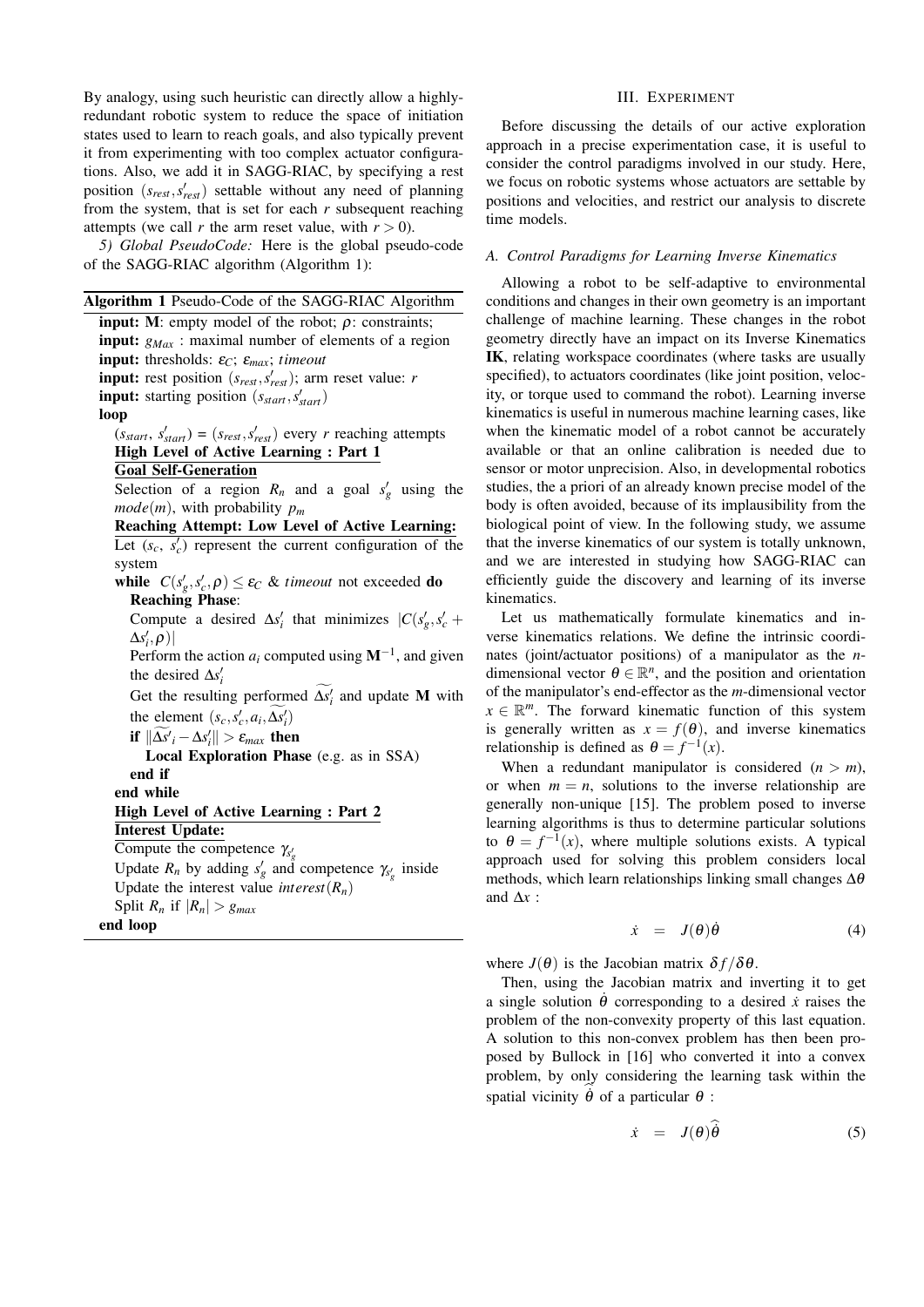By analogy, using such heuristic can directly allow a highlyredundant robotic system to reduce the space of initiation states used to learn to reach goals, and also typically prevent it from experimenting with too complex actuator configurations. Also, we add it in SAGG-RIAC, by specifying a rest position (*s<sub>rest</sub>*, *s*<sup>*r<sub>est</sub>*) settable without any need of planning</sup> from the system, that is set for each *r* subsequent reaching attempts (we call *r* the arm reset value, with  $r > 0$ ).

*5) Global PseudoCode:* Here is the global pseudo-code of the SAGG-RIAC algorithm (Algorithm 1):

Algorithm 1 Pseudo-Code of the SAGG-RIAC Algorithm input: M: empty model of the robot;  $\rho$ : constraints; input: *gMax* : maximal number of elements of a region input: thresholds:  $\varepsilon_C$ ;  $\varepsilon_{max}$ ; *timeout* input: rest position (*srest*,*s* ′ *rest*); arm reset value: *r* input: starting position (*sstart*,*s* ′ *start*) loop  $(s_{start}, s'_{start}) = (s_{rest}, s'_{rest})$  every *r* reaching attempts High Level of Active Learning : Part 1 Goal Self-Generation Selection of a region  $R_n$  and a goal  $s'_g$  using the  $mode(m)$ , with probability  $p_m$ Reaching Attempt: Low Level of Active Learning: Let  $(s_c, s_c')$  represent the current configuration of the system while  $C(s'_g, s'_c, \rho) \le \varepsilon_c$  & *timeout* not exceeded do Reaching Phase: Compute a desired  $\Delta s_i'$  that minimizes  $|C(s_g', s_c' +$  $\Delta s_i', \rho)$ | Perform the action  $a_i$  computed using  $M^{-1}$ , and given the desired  $\Delta s_i'$ Get the resulting performed  $\Delta s_i'$  and update **M** with the element  $(s_c, s'_c, a_i, \Delta s'_i)$ if  $\|\widetilde{\Delta s'}_i - \Delta s'_i\| > \varepsilon_{max}$  then Local Exploration Phase (e.g. as in SSA) end if end while High Level of Active Learning : Part 2 Interest Update: Compute the competence  $\gamma_{s'_g}$ Update  $R_n$  by adding  $s'_g$  and competence  $\gamma_{s'_g}$  inside Update the interest value *interest*( $R_n$ ) Split  $R_n$  if  $|R_n| > g_{max}$ end loop

#### III. EXPERIMENT

Before discussing the details of our active exploration approach in a precise experimentation case, it is useful to consider the control paradigms involved in our study. Here, we focus on robotic systems whose actuators are settable by positions and velocities, and restrict our analysis to discrete time models.

#### *A. Control Paradigms for Learning Inverse Kinematics*

Allowing a robot to be self-adaptive to environmental conditions and changes in their own geometry is an important challenge of machine learning. These changes in the robot geometry directly have an impact on its Inverse Kinematics IK, relating workspace coordinates (where tasks are usually specified), to actuators coordinates (like joint position, velocity, or torque used to command the robot). Learning inverse kinematics is useful in numerous machine learning cases, like when the kinematic model of a robot cannot be accurately available or that an online calibration is needed due to sensor or motor unprecision. Also, in developmental robotics studies, the a priori of an already known precise model of the body is often avoided, because of its implausibility from the biological point of view. In the following study, we assume that the inverse kinematics of our system is totally unknown, and we are interested in studying how SAGG-RIAC can efficiently guide the discovery and learning of its inverse kinematics.

Let us mathematically formulate kinematics and inverse kinematics relations. We define the intrinsic coordinates (joint/actuator positions) of a manipulator as the *n*dimensional vector  $\theta \in \mathbb{R}^n$ , and the position and orientation of the manipulator's end-effector as the *m*-dimensional vector  $x \in \mathbb{R}^m$ . The forward kinematic function of this system is generally written as  $x = f(\theta)$ , and inverse kinematics relationship is defined as  $\theta = f^{-1}(x)$ .

When a redundant manipulator is considered  $(n > m)$ , or when  $m = n$ , solutions to the inverse relationship are generally non-unique [15]. The problem posed to inverse learning algorithms is thus to determine particular solutions to  $\theta = f^{-1}(x)$ , where multiple solutions exists. A typical approach used for solving this problem considers local methods, which learn relationships linking small changes  $\Delta\theta$ and ∆*x* :

$$
\dot{x} = J(\theta)\dot{\theta} \tag{4}
$$

where  $J(\theta)$  is the Jacobian matrix  $\delta f/\delta\theta$ .

Then, using the Jacobian matrix and inverting it to get a single solution  $\dot{\theta}$  corresponding to a desired  $\dot{x}$  raises the problem of the non-convexity property of this last equation. A solution to this non-convex problem has then been proposed by Bullock in [16] who converted it into a convex problem, by only considering the learning task within the spatial vicinity  $\dot{\theta}$  of a particular  $\theta$ :

$$
\dot{x} = J(\theta)\dot{\theta} \tag{5}
$$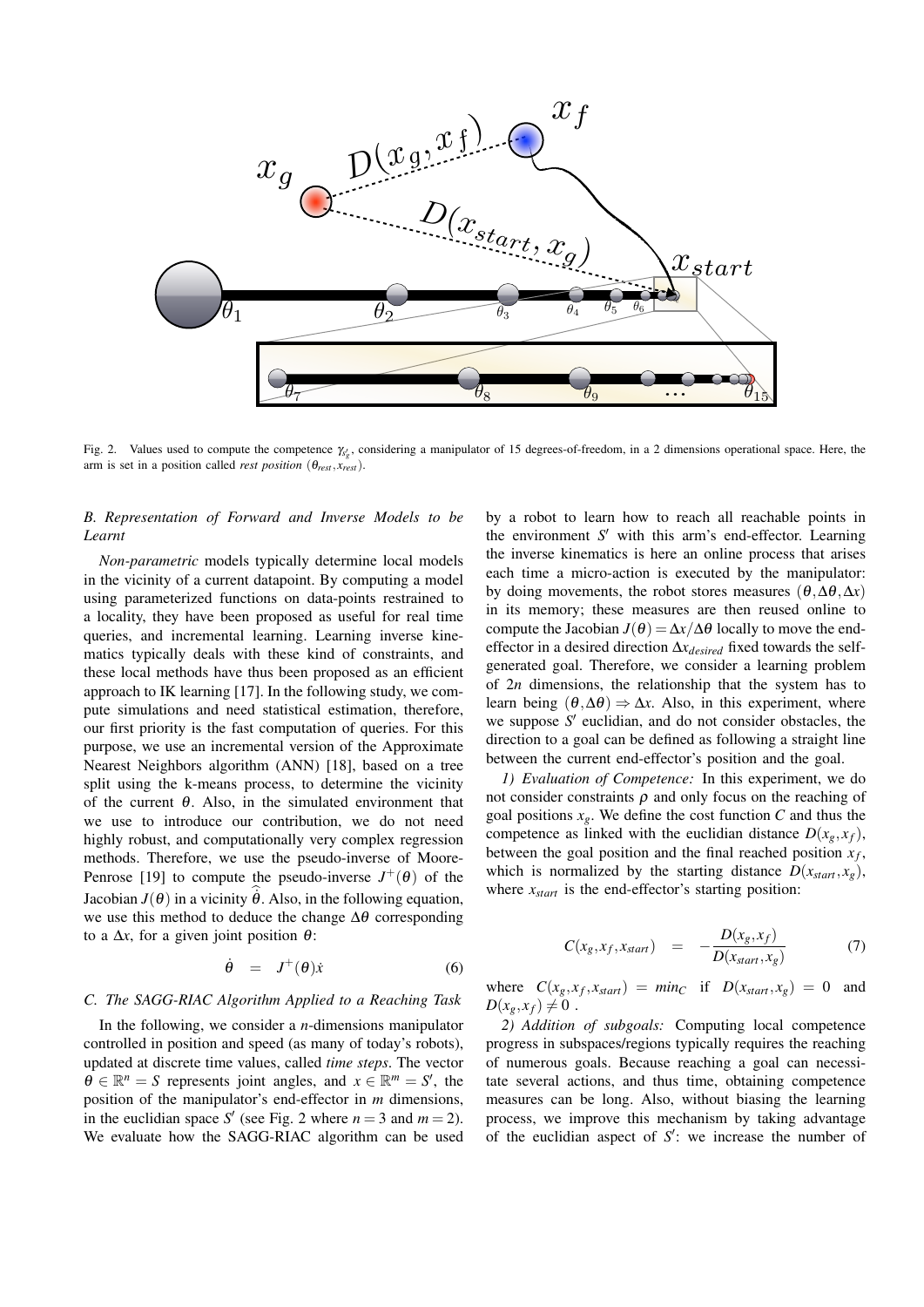

Fig. 2. Values used to compute the competence  $\gamma_{s'_{g}}$ , considering a manipulator of 15 degrees-of-freedom, in a 2 dimensions operational space. Here, the arm is set in a position called *rest position*  $(\theta_{rest}, x_{rest}^{\circ})$ .

# *B. Representation of Forward and Inverse Models to be Learnt*

*Non-parametric* models typically determine local models in the vicinity of a current datapoint. By computing a model using parameterized functions on data-points restrained to a locality, they have been proposed as useful for real time queries, and incremental learning. Learning inverse kinematics typically deals with these kind of constraints, and these local methods have thus been proposed as an efficient approach to IK learning [17]. In the following study, we compute simulations and need statistical estimation, therefore, our first priority is the fast computation of queries. For this purpose, we use an incremental version of the Approximate Nearest Neighbors algorithm (ANN) [18], based on a tree split using the k-means process, to determine the vicinity of the current  $\theta$ . Also, in the simulated environment that we use to introduce our contribution, we do not need highly robust, and computationally very complex regression methods. Therefore, we use the pseudo-inverse of Moore-Penrose [19] to compute the pseudo-inverse  $J^+(\theta)$  of the Jacobian  $J(\theta)$  in a vicinity  $\dot{\theta}$ . Also, in the following equation, we use this method to deduce the change  $\Delta\theta$  corresponding to a  $\Delta x$ , for a given joint position  $\theta$ :

$$
\dot{\theta} = J^+(\theta)\dot{x} \tag{6}
$$

#### *C. The SAGG-RIAC Algorithm Applied to a Reaching Task*

In the following, we consider a *n*-dimensions manipulator controlled in position and speed (as many of today's robots), updated at discrete time values, called *time steps*. The vector  $\theta \in \mathbb{R}^n = S$  represents joint angles, and  $x \in \mathbb{R}^m = S'$ , the position of the manipulator's end-effector in *m* dimensions, in the euclidian space *S'* (see Fig. 2 where  $n = 3$  and  $m = 2$ ). We evaluate how the SAGG-RIAC algorithm can be used by a robot to learn how to reach all reachable points in the environment *S* ′ with this arm's end-effector. Learning the inverse kinematics is here an online process that arises each time a micro-action is executed by the manipulator: by doing movements, the robot stores measures ( $\theta$ , $\Delta\theta$ , $\Delta x$ ) in its memory; these measures are then reused online to compute the Jacobian  $J(\theta) = \frac{\Delta x}{\Delta \theta}$  locally to move the endeffector in a desired direction ∆*xdesired* fixed towards the selfgenerated goal. Therefore, we consider a learning problem of 2*n* dimensions, the relationship that the system has to learn being  $(\theta, \Delta\theta) \Rightarrow \Delta x$ . Also, in this experiment, where we suppose  $S'$  euclidian, and do not consider obstacles, the direction to a goal can be defined as following a straight line between the current end-effector's position and the goal.

*1) Evaluation of Competence:* In this experiment, we do not consider constraints  $\rho$  and only focus on the reaching of goal positions  $x_g$ . We define the cost function  $C$  and thus the competence as linked with the euclidian distance  $D(x_g, x_f)$ , between the goal position and the final reached position  $x_f$ , which is normalized by the starting distance  $D(x_{start}, x_g)$ , where *xstart* is the end-effector's starting position:

$$
C(x_g, x_f, x_{start}) = -\frac{D(x_g, x_f)}{D(x_{start}, x_g)}
$$
(7)

where  $C(x_g, x_f, x_{start}) = min_C$  if  $D(x_{start}, x_g) = 0$  and  $D(x_g, x_f) \neq 0$ .

*2) Addition of subgoals:* Computing local competence progress in subspaces/regions typically requires the reaching of numerous goals. Because reaching a goal can necessitate several actions, and thus time, obtaining competence measures can be long. Also, without biasing the learning process, we improve this mechanism by taking advantage of the euclidian aspect of  $S'$ : we increase the number of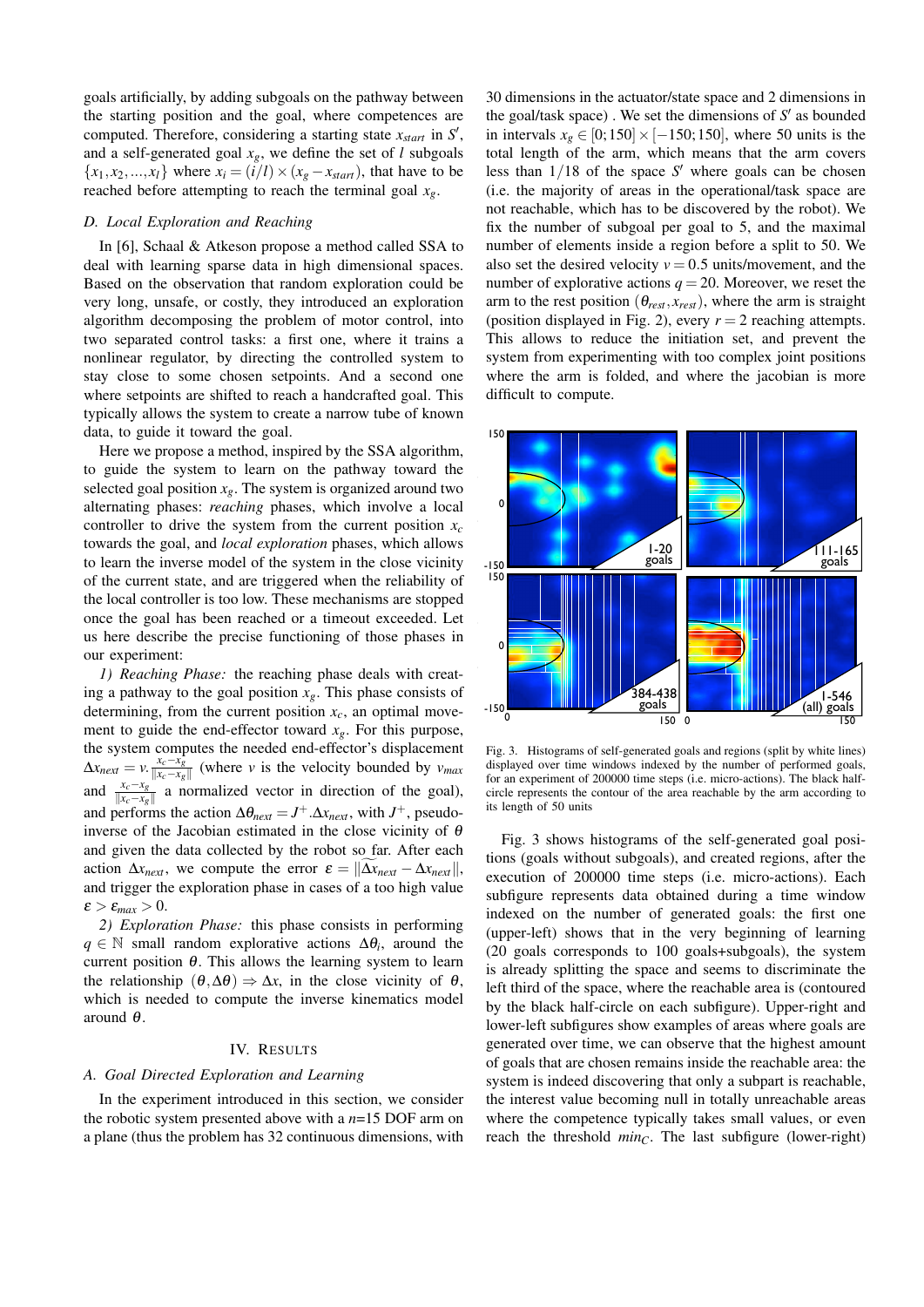goals artificially, by adding subgoals on the pathway between the starting position and the goal, where competences are computed. Therefore, considering a starting state *xstart* in *S* ′ , and a self-generated goal  $x_g$ , we define the set of *l* subgoals  ${x_1, x_2,..., x_l}$  where  $x_i = (i/l) \times (x_g - x_{start})$ , that have to be reached before attempting to reach the terminal goal *xg*.

### *D. Local Exploration and Reaching*

In [6], Schaal & Atkeson propose a method called SSA to deal with learning sparse data in high dimensional spaces. Based on the observation that random exploration could be very long, unsafe, or costly, they introduced an exploration algorithm decomposing the problem of motor control, into two separated control tasks: a first one, where it trains a nonlinear regulator, by directing the controlled system to stay close to some chosen setpoints. And a second one where setpoints are shifted to reach a handcrafted goal. This typically allows the system to create a narrow tube of known data, to guide it toward the goal.

Here we propose a method, inspired by the SSA algorithm, to guide the system to learn on the pathway toward the selected goal position  $x_g$ . The system is organized around two alternating phases: *reaching* phases, which involve a local controller to drive the system from the current position  $x_c$ towards the goal, and *local exploration* phases, which allows to learn the inverse model of the system in the close vicinity of the current state, and are triggered when the reliability of the local controller is too low. These mechanisms are stopped once the goal has been reached or a timeout exceeded. Let us here describe the precise functioning of those phases in our experiment:

*1) Reaching Phase:* the reaching phase deals with creating a pathway to the goal position  $x_g$ . This phase consists of determining, from the current position  $x_c$ , an optimal movement to guide the end-effector toward  $x<sub>g</sub>$ . For this purpose, the system computes the needed end-effector's displacement  $\Delta x_{next} = v.\frac{x_c - x_g}{\|x_c - x_g\|}$  $\frac{x_c - x_g}{||x_c - x_g||}$  (where *v* is the velocity bounded by *v*<sub>*max*</sub> and  $\frac{x_c - x_g}{\|x_c - x_g\|}$  a normalized vector in direction of the goal), and performs the action  $\Delta\theta_{next} = J^+ \Delta x_{next}$ , with  $J^+$ , pseudoinverse of the Jacobian estimated in the close vicinity of  $\theta$ and given the data collected by the robot so far. After each action  $\Delta x_{next}$ , we compute the error  $\varepsilon = ||\Delta x_{next} - \Delta x_{next}||$ , and trigger the exploration phase in cases of a too high value  $\varepsilon > \varepsilon_{max} > 0.$ 

*2) Exploration Phase:* this phase consists in performing  $q \in \mathbb{N}$  small random explorative actions  $\Delta \theta_i$ , around the current position  $\theta$ . This allows the learning system to learn the relationship  $(\theta, \Delta\theta) \Rightarrow \Delta x$ , in the close vicinity of  $\theta$ , which is needed to compute the inverse kinematics model around θ.

#### IV. RESULTS

#### *A. Goal Directed Exploration and Learning*

In the experiment introduced in this section, we consider the robotic system presented above with a *n*=15 DOF arm on a plane (thus the problem has 32 continuous dimensions, with

30 dimensions in the actuator/state space and 2 dimensions in the goal/task space) . We set the dimensions of *S* ′ as bounded in intervals  $x_g$  ∈ [0; 150] × [−150; 150], where 50 units is the total length of the arm, which means that the arm covers less than  $1/18$  of the space  $S'$  where goals can be chosen (i.e. the majority of areas in the operational/task space are not reachable, which has to be discovered by the robot). We fix the number of subgoal per goal to 5, and the maximal number of elements inside a region before a split to 50. We also set the desired velocity  $v = 0.5$  units/movement, and the number of explorative actions  $q = 20$ . Moreover, we reset the arm to the rest position ( $\theta_{rest}$ ,  $x_{rest}$ ), where the arm is straight (position displayed in Fig. 2), every  $r = 2$  reaching attempts. This allows to reduce the initiation set, and prevent the system from experimenting with too complex joint positions where the arm is folded, and where the jacobian is more difficult to compute.



Fig. 3. Histograms of self-generated goals and regions (split by white lines) displayed over time windows indexed by the number of performed goals, for an experiment of 200000 time steps (i.e. micro-actions). The black halfcircle represents the contour of the area reachable by the arm according to its length of 50 units

Fig. 3 shows histograms of the self-generated goal positions (goals without subgoals), and created regions, after the execution of 200000 time steps (i.e. micro-actions). Each subfigure represents data obtained during a time window indexed on the number of generated goals: the first one (upper-left) shows that in the very beginning of learning (20 goals corresponds to 100 goals+subgoals), the system is already splitting the space and seems to discriminate the left third of the space, where the reachable area is (contoured by the black half-circle on each subfigure). Upper-right and lower-left subfigures show examples of areas where goals are generated over time, we can observe that the highest amount of goals that are chosen remains inside the reachable area: the system is indeed discovering that only a subpart is reachable, the interest value becoming null in totally unreachable areas where the competence typically takes small values, or even reach the threshold *minC*. The last subfigure (lower-right)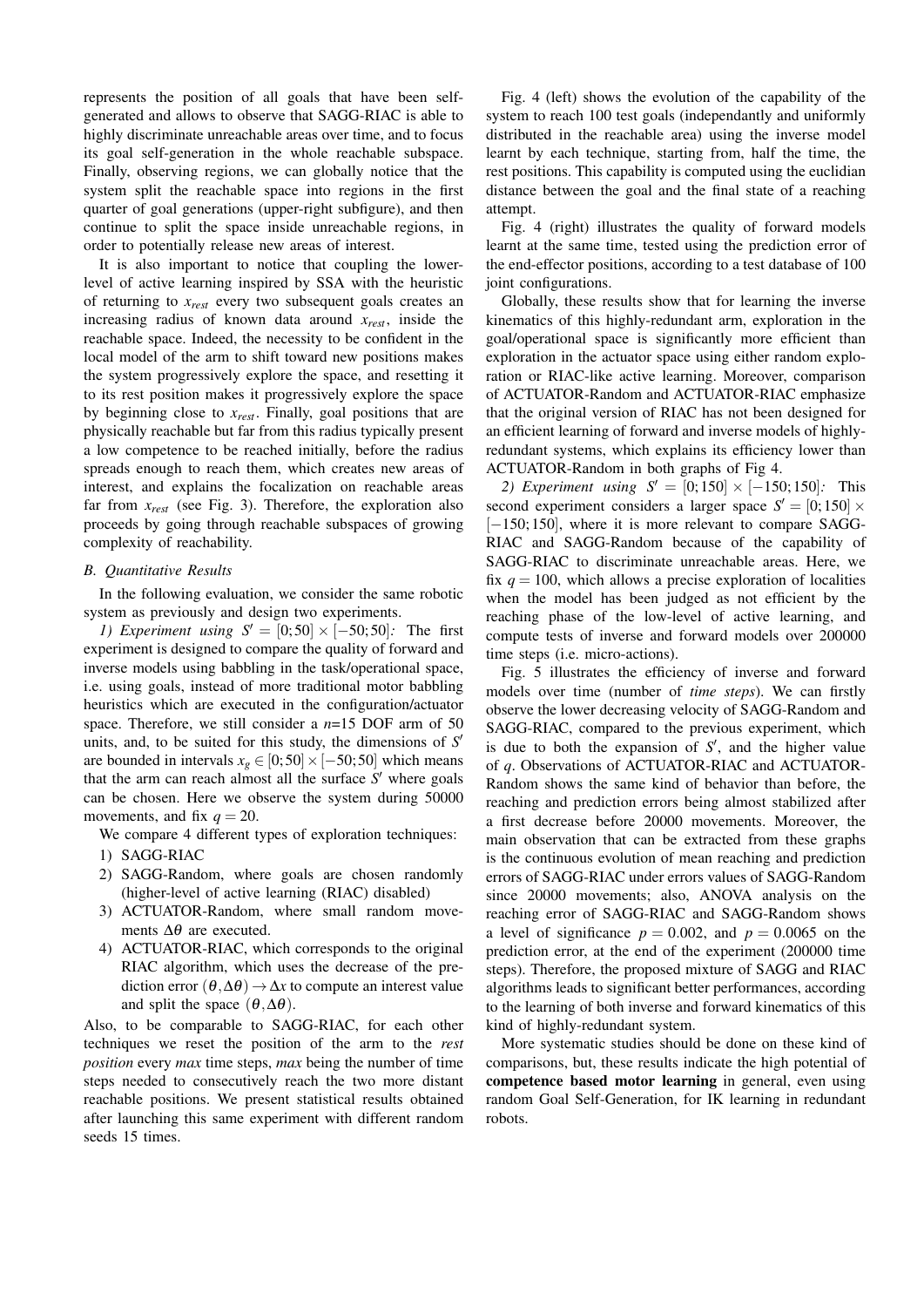represents the position of all goals that have been selfgenerated and allows to observe that SAGG-RIAC is able to highly discriminate unreachable areas over time, and to focus its goal self-generation in the whole reachable subspace. Finally, observing regions, we can globally notice that the system split the reachable space into regions in the first quarter of goal generations (upper-right subfigure), and then continue to split the space inside unreachable regions, in order to potentially release new areas of interest.

It is also important to notice that coupling the lowerlevel of active learning inspired by SSA with the heuristic of returning to *xrest* every two subsequent goals creates an increasing radius of known data around *xrest*, inside the reachable space. Indeed, the necessity to be confident in the local model of the arm to shift toward new positions makes the system progressively explore the space, and resetting it to its rest position makes it progressively explore the space by beginning close to *xrest*. Finally, goal positions that are physically reachable but far from this radius typically present a low competence to be reached initially, before the radius spreads enough to reach them, which creates new areas of interest, and explains the focalization on reachable areas far from  $x_{rest}$  (see Fig. 3). Therefore, the exploration also proceeds by going through reachable subspaces of growing complexity of reachability.

#### *B. Quantitative Results*

In the following evaluation, we consider the same robotic system as previously and design two experiments.

*1)* Experiment using  $S' = [0, 50] \times [-50, 50]$ . The first experiment is designed to compare the quality of forward and inverse models using babbling in the task/operational space, i.e. using goals, instead of more traditional motor babbling heuristics which are executed in the configuration/actuator space. Therefore, we still consider a *n*=15 DOF arm of 50 units, and, to be suited for this study, the dimensions of S' are bounded in intervals  $x_g \in [0, 50] \times [-50, 50]$  which means that the arm can reach almost all the surface *S* ′ where goals can be chosen. Here we observe the system during 50000 movements, and fix  $q = 20$ .

We compare 4 different types of exploration techniques:

- 1) SAGG-RIAC
- 2) SAGG-Random, where goals are chosen randomly (higher-level of active learning (RIAC) disabled)
- 3) ACTUATOR-Random, where small random movements  $\Delta\theta$  are executed.
- 4) ACTUATOR-RIAC, which corresponds to the original RIAC algorithm, which uses the decrease of the prediction error  $(\theta, \Delta\theta) \rightarrow \Delta x$  to compute an interest value and split the space  $(\theta, \Delta\theta)$ .

Also, to be comparable to SAGG-RIAC, for each other techniques we reset the position of the arm to the *rest position* every *max* time steps, *max* being the number of time steps needed to consecutively reach the two more distant reachable positions. We present statistical results obtained after launching this same experiment with different random seeds 15 times.

Fig. 4 (left) shows the evolution of the capability of the system to reach 100 test goals (independantly and uniformly distributed in the reachable area) using the inverse model learnt by each technique, starting from, half the time, the rest positions. This capability is computed using the euclidian distance between the goal and the final state of a reaching attempt.

Fig. 4 (right) illustrates the quality of forward models learnt at the same time, tested using the prediction error of the end-effector positions, according to a test database of 100 joint configurations.

Globally, these results show that for learning the inverse kinematics of this highly-redundant arm, exploration in the goal/operational space is significantly more efficient than exploration in the actuator space using either random exploration or RIAC-like active learning. Moreover, comparison of ACTUATOR-Random and ACTUATOR-RIAC emphasize that the original version of RIAC has not been designed for an efficient learning of forward and inverse models of highlyredundant systems, which explains its efficiency lower than ACTUATOR-Random in both graphs of Fig 4.

*2) Experiment using S*′ = [0; 150] × [−150; 150]*:* This second experiment considers a larger space  $S' = [0, 150] \times$ [-150; 150], where it is more relevant to compare SAGG-RIAC and SAGG-Random because of the capability of SAGG-RIAC to discriminate unreachable areas. Here, we fix  $q = 100$ , which allows a precise exploration of localities when the model has been judged as not efficient by the reaching phase of the low-level of active learning, and compute tests of inverse and forward models over 200000 time steps (i.e. micro-actions).

Fig. 5 illustrates the efficiency of inverse and forward models over time (number of *time steps*). We can firstly observe the lower decreasing velocity of SAGG-Random and SAGG-RIAC, compared to the previous experiment, which is due to both the expansion of  $S'$ , and the higher value of *q*. Observations of ACTUATOR-RIAC and ACTUATOR-Random shows the same kind of behavior than before, the reaching and prediction errors being almost stabilized after a first decrease before 20000 movements. Moreover, the main observation that can be extracted from these graphs is the continuous evolution of mean reaching and prediction errors of SAGG-RIAC under errors values of SAGG-Random since 20000 movements; also, ANOVA analysis on the reaching error of SAGG-RIAC and SAGG-Random shows a level of significance  $p = 0.002$ , and  $p = 0.0065$  on the prediction error, at the end of the experiment (200000 time steps). Therefore, the proposed mixture of SAGG and RIAC algorithms leads to significant better performances, according to the learning of both inverse and forward kinematics of this kind of highly-redundant system.

More systematic studies should be done on these kind of comparisons, but, these results indicate the high potential of competence based motor learning in general, even using random Goal Self-Generation, for IK learning in redundant robots.